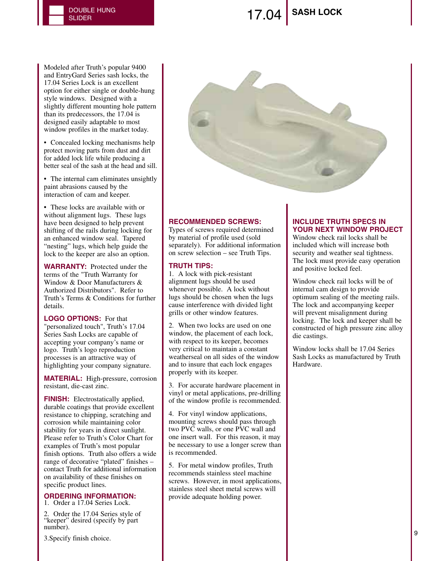## **SLIDER** SASH LOCK<br>SLIDER

Modeled after Truth's popular 9400 and EntryGard Series sash locks, the 17.04 Series Lock is an excellent option for either single or double-hung style windows. Designed with a slightly different mounting hole pattern than its predecessors, the 17.04 is designed easily adaptable to most window profiles in the market today.

• Concealed locking mechanisms help protect moving parts from dust and dirt for added lock life while producing a better seal of the sash at the head and sill.

• The internal cam eliminates unsightly paint abrasions caused by the interaction of cam and keeper.

• These locks are available with or without alignment lugs. These lugs have been designed to help prevent shifting of the rails during locking for an enhanced window seal. Tapered "nesting" lugs, which help guide the lock to the keeper are also an option.

**WARRANTY:** Protected under the terms of the "Truth Warranty for Window & Door Manufacturers & Authorized Distributors". Refer to Truth's Terms & Conditions for further details.

**LOGO OPTIONS:** For that "personalized touch", Truth's 17.04 Series Sash Locks are capable of accepting your company's name or logo. Truth's logo reproduction processes is an attractive way of highlighting your company signature.

**MATERIAL:** High-pressure, corrosion resistant, die-cast zinc.

**FINISH:** Electrostatically applied, durable coatings that provide excellent resistance to chipping, scratching and corrosion while maintaining color stability for years in direct sunlight. Please refer to Truth's Color Chart for examples of Truth's most popular finish options. Truth also offers a wide range of decorative "plated" finishes – contact Truth for additional information on availability of these finishes on specific product lines.

### **ORDERING INFORMATION:**

1. Order a 17.04 Series Lock.

2. Order the 17.04 Series style of "keeper" desired (specify by part number).

3.Specify finish choice.



#### **RECOMMENDED SCREWS:**

Types of screws required determined by material of profile used (sold separately). For additional information on screw selection – see Truth Tips.

#### **TRUTH TIPS:**

1. A lock with pick-resistant alignment lugs should be used whenever possible. A lock without lugs should be chosen when the lugs cause interference with divided light grills or other window features.

2. When two locks are used on one window, the placement of each lock, with respect to its keeper, becomes very critical to maintain a constant weatherseal on all sides of the window and to insure that each lock engages properly with its keeper.

3. For accurate hardware placement in vinyl or metal applications, pre-drilling of the window profile is recommended.

4. For vinyl window applications, mounting screws should pass through two PVC walls, or one PVC wall and one insert wall. For this reason, it may be necessary to use a longer screw than is recommended.

5. For metal window profiles, Truth recommends stainless steel machine screws. However, in most applications, stainless steel sheet metal screws will provide adequate holding power.

#### **INCLUDE TRUTH SPECS IN YOUR NEXT WINDOW PROJECT**

Window check rail locks shall be included which will increase both security and weather seal tightness. The lock must provide easy operation and positive locked feel.

Window check rail locks will be of internal cam design to provide optimum sealing of the meeting rails. The lock and accompanying keeper will prevent misalignment during locking. The lock and keeper shall be constructed of high pressure zinc alloy die castings.

Window locks shall be 17.04 Series Sash Locks as manufactured by Truth Hardware.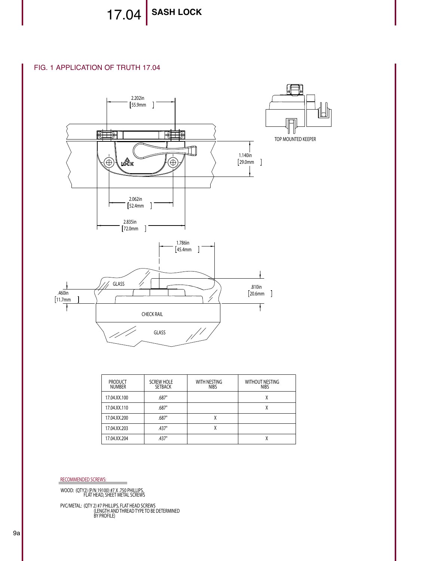17.04 SASH LOCK

FIG. 1 APPLICATION OF TRUTH 17.04 FIG. 1 APPLICATION OF TRUTH 17.04



| <b>PRODUCT</b><br><b>NUMBER</b> | <b>SCREW HOLE</b><br><b>SETBACK</b> | WITH NESTING<br><b>NIBS</b> | <b>WITHOUT NESTING</b><br><b>NIBS</b> |
|---------------------------------|-------------------------------------|-----------------------------|---------------------------------------|
| 17.04.XX.100                    | .687"                               |                             | χ                                     |
| 17.04.XX.110                    | .687"                               |                             | χ                                     |
| 17.04.XX.200                    | .687"                               | Λ                           |                                       |
| 17.04.XX.203                    | .437"                               | χ                           |                                       |
| 17.04.XX.204                    | .437"                               |                             | χ                                     |

RECOMMENDED SCREWS:

WOOD: (QTY2) (P/N 19100) #7 X .750 PHILLIPS, FLAT HEAD, SHEET METAL SCREWS

PVC/METAL: (QTY 2) #7 PHILLIPS, FLAT HEAD SCREWS<br>LENGTH AND THREAD TYPE TO BE DETERMINED)<br>BY PROFILE)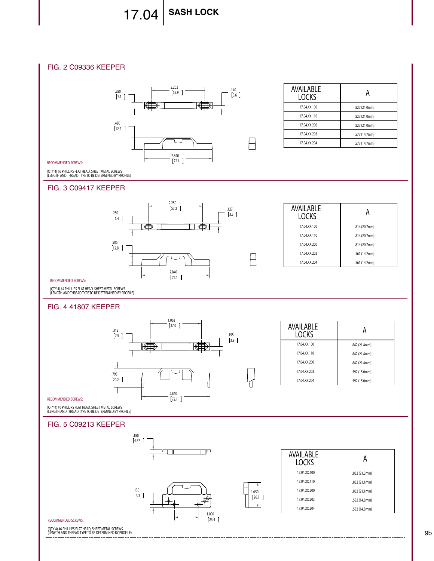# 17.04 **SASH LOCK**